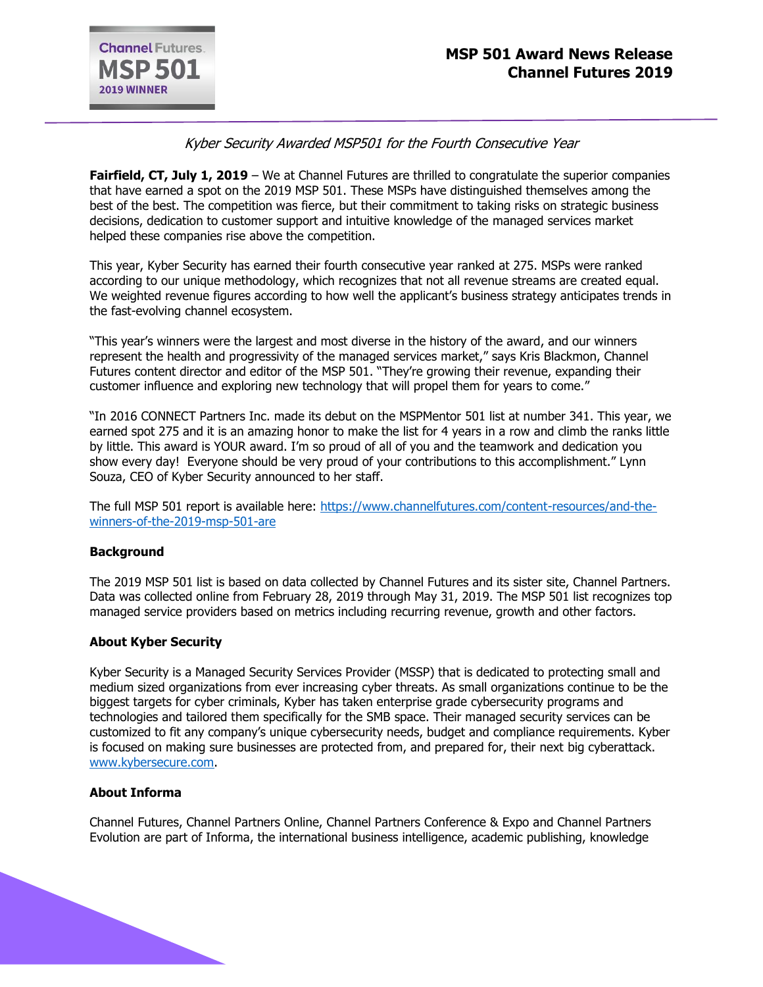## Kyber Security Awarded MSP501 for the Fourth Consecutive Year

**Fairfield, CT, July 1, 2019** – We at Channel Futures are thrilled to congratulate the superior companies that have earned a spot on the 2019 MSP 501. These MSPs have distinguished themselves among the best of the best. The competition was fierce, but their commitment to taking risks on strategic business decisions, dedication to customer support and intuitive knowledge of the managed services market helped these companies rise above the competition.

This year, Kyber Security has earned their fourth consecutive year ranked at 275. MSPs were ranked according to our unique methodology, which recognizes that not all revenue streams are created equal. We weighted revenue figures according to how well the applicant's business strategy anticipates trends in the fast-evolving channel ecosystem.

"This year's winners were the largest and most diverse in the history of the award, and our winners represent the health and progressivity of the managed services market," says Kris Blackmon, Channel Futures content director and editor of the MSP 501. "They're growing their revenue, expanding their customer influence and exploring new technology that will propel them for years to come."

"In 2016 CONNECT Partners Inc. made its debut on the MSPMentor 501 list at number 341. This year, we earned spot 275 and it is an amazing honor to make the list for 4 years in a row and climb the ranks little by little. This award is YOUR award. I'm so proud of all of you and the teamwork and dedication you show every day! Everyone should be very proud of your contributions to this accomplishment." Lynn Souza, CEO of Kyber Security announced to her staff.

The full MSP 501 report is available here: [https://www.channelfutures.com/content-resources/and-the](https://www.channelfutures.com/content-resources/and-the-winners-of-the-2019-msp-501-are)[winners-of-the-2019-msp-501-are](https://www.channelfutures.com/content-resources/and-the-winners-of-the-2019-msp-501-are)

### **Background**

The 2019 MSP 501 list is based on data collected by Channel Futures and its sister site, Channel Partners. Data was collected online from February 28, 2019 through May 31, 2019. The MSP 501 list recognizes top managed service providers based on metrics including recurring revenue, growth and other factors.

### **About Kyber Security**

Kyber Security is a Managed Security Services Provider (MSSP) that is dedicated to protecting small and medium sized organizations from ever increasing cyber threats. As small organizations continue to be the biggest targets for cyber criminals, Kyber has taken enterprise grade cybersecurity programs and technologies and tailored them specifically for the SMB space. Their managed security services can be customized to fit any company's unique cybersecurity needs, budget and compliance requirements. Kyber is focused on making sure businesses are protected from, and prepared for, their next big cyberattack. [www.kybersecure.com.](http://www.kybersecure.com/)

### **About Informa**

Channel Futures, Channel Partners Online, Channel Partners Conference & Expo and Channel Partners Evolution are part of Informa, the international business intelligence, academic publishing, knowledge